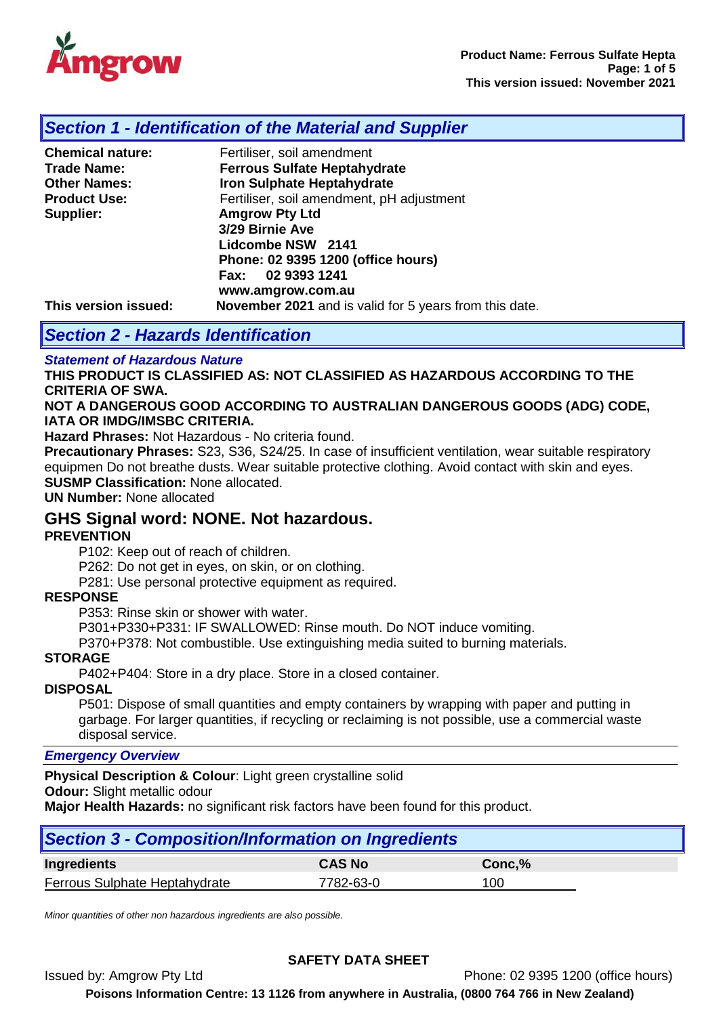

# *Section 1 - Identification of the Material and Supplier*

| <b>Chemical nature:</b> | Fertiliser, soil amendment                             |
|-------------------------|--------------------------------------------------------|
| <b>Trade Name:</b>      | <b>Ferrous Sulfate Heptahydrate</b>                    |
| <b>Other Names:</b>     | <b>Iron Sulphate Heptahydrate</b>                      |
| <b>Product Use:</b>     | Fertiliser, soil amendment, pH adjustment              |
| Supplier:               | <b>Amgrow Pty Ltd</b>                                  |
|                         | 3/29 Birnie Ave                                        |
|                         | Lidcombe NSW 2141                                      |
|                         | Phone: 02 9395 1200 (office hours)                     |
|                         | Fax: 02 9393 1241                                      |
|                         | www.amgrow.com.au                                      |
| This version issued:    | November 2021 and is valid for 5 years from this date. |

# *Section 2 - Hazards Identification*

### *Statement of Hazardous Nature*

**THIS PRODUCT IS CLASSIFIED AS: NOT CLASSIFIED AS HAZARDOUS ACCORDING TO THE CRITERIA OF SWA.**

#### **NOT A DANGEROUS GOOD ACCORDING TO AUSTRALIAN DANGEROUS GOODS (ADG) CODE, IATA OR IMDG/IMSBC CRITERIA.**

**Hazard Phrases:** Not Hazardous - No criteria found.

**Precautionary Phrases:** S23, S36, S24/25. In case of insufficient ventilation, wear suitable respiratory equipmen Do not breathe dusts. Wear suitable protective clothing. Avoid contact with skin and eyes. **SUSMP Classification:** None allocated.

**UN Number:** None allocated

## **GHS Signal word: NONE. Not hazardous.**

#### **PREVENTION**

P102: Keep out of reach of children.

P262: Do not get in eyes, on skin, or on clothing.

P281: Use personal protective equipment as required.

### **RESPONSE**

P353: Rinse skin or shower with water.

P301+P330+P331: IF SWALLOWED: Rinse mouth. Do NOT induce vomiting.

P370+P378: Not combustible. Use extinguishing media suited to burning materials.

#### **STORAGE**

P402+P404: Store in a dry place. Store in a closed container.

#### **DISPOSAL**

P501: Dispose of small quantities and empty containers by wrapping with paper and putting in garbage. For larger quantities, if recycling or reclaiming is not possible, use a commercial waste disposal service.

#### *Emergency Overview*

**Physical Description & Colour**: Light green crystalline solid **Odour:** Slight metallic odour

**Major Health Hazards:** no significant risk factors have been found for this product.

| Section 3 - Composition/Information on Ingredients |               |        |  |  |
|----------------------------------------------------|---------------|--------|--|--|
| Ingredients                                        | <b>CAS No</b> | Conc.% |  |  |
| Ferrous Sulphate Heptahydrate                      | 7782-63-0     | 100    |  |  |

*Minor quantities of other non hazardous ingredients are also possible.*

## **SAFETY DATA SHEET**

Issued by: Amgrow Pty Ltd Phone: 02 9395 1200 (office hours)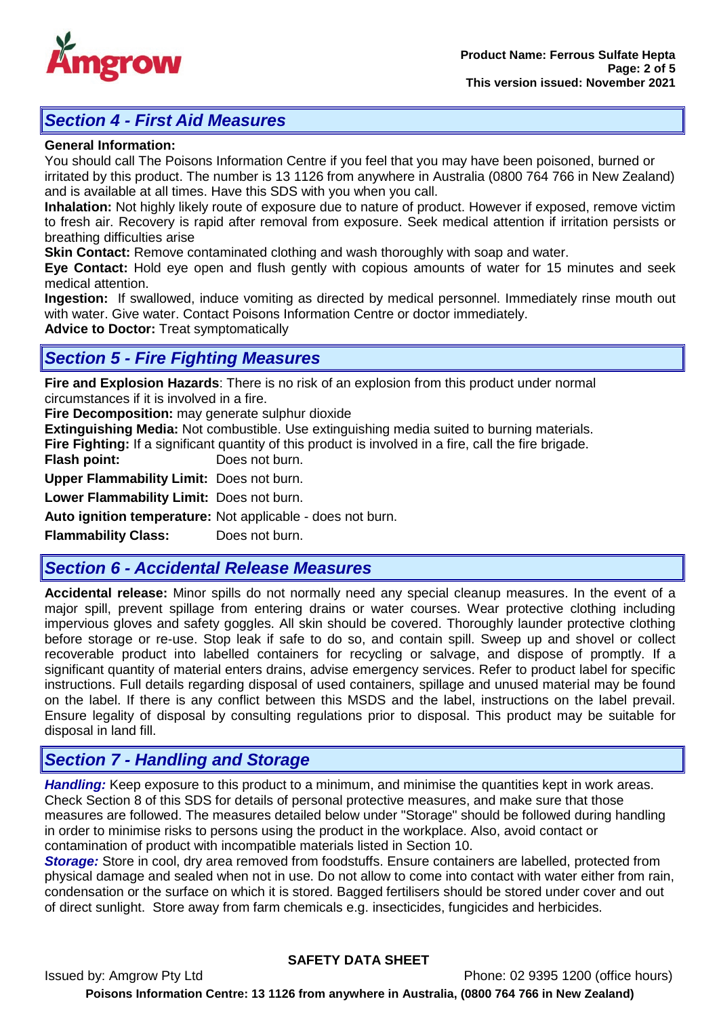

# *Section 4 - First Aid Measures*

#### **General Information:**

You should call The Poisons Information Centre if you feel that you may have been poisoned, burned or irritated by this product. The number is 13 1126 from anywhere in Australia (0800 764 766 in New Zealand) and is available at all times. Have this SDS with you when you call.

**Inhalation:** Not highly likely route of exposure due to nature of product. However if exposed, remove victim to fresh air. Recovery is rapid after removal from exposure. Seek medical attention if irritation persists or breathing difficulties arise

**Skin Contact:** Remove contaminated clothing and wash thoroughly with soap and water.

**Eye Contact:** Hold eye open and flush gently with copious amounts of water for 15 minutes and seek medical attention.

**Ingestion:** If swallowed, induce vomiting as directed by medical personnel. Immediately rinse mouth out with water. Give water. Contact Poisons Information Centre or doctor immediately.

**Advice to Doctor:** Treat symptomatically

# *Section 5 - Fire Fighting Measures*

**Fire and Explosion Hazards**: There is no risk of an explosion from this product under normal circumstances if it is involved in a fire.

**Fire Decomposition:** may generate sulphur dioxide

**Extinguishing Media:** Not combustible. Use extinguishing media suited to burning materials.

**Fire Fighting:** If a significant quantity of this product is involved in a fire, call the fire brigade.

**Flash point:** Does not burn.

**Upper Flammability Limit:** Does not burn.

**Lower Flammability Limit:** Does not burn.

**Auto ignition temperature:** Not applicable - does not burn.

**Flammability Class:** Does not burn.

# *Section 6 - Accidental Release Measures*

**Accidental release:** Minor spills do not normally need any special cleanup measures. In the event of a major spill, prevent spillage from entering drains or water courses. Wear protective clothing including impervious gloves and safety goggles. All skin should be covered. Thoroughly launder protective clothing before storage or re-use. Stop leak if safe to do so, and contain spill. Sweep up and shovel or collect recoverable product into labelled containers for recycling or salvage, and dispose of promptly. If a significant quantity of material enters drains, advise emergency services. Refer to product label for specific instructions. Full details regarding disposal of used containers, spillage and unused material may be found on the label. If there is any conflict between this MSDS and the label, instructions on the label prevail. Ensure legality of disposal by consulting regulations prior to disposal. This product may be suitable for disposal in land fill.

# *Section 7 - Handling and Storage*

*Handling:* Keep exposure to this product to a minimum, and minimise the quantities kept in work areas. Check Section 8 of this SDS for details of personal protective measures, and make sure that those measures are followed. The measures detailed below under "Storage" should be followed during handling in order to minimise risks to persons using the product in the workplace. Also, avoid contact or contamination of product with incompatible materials listed in Section 10.

*Storage:* Store in cool, dry area removed from foodstuffs. Ensure containers are labelled, protected from physical damage and sealed when not in use. Do not allow to come into contact with water either from rain, condensation or the surface on which it is stored. Bagged fertilisers should be stored under cover and out of direct sunlight. Store away from farm chemicals e.g. insecticides, fungicides and herbicides.

## **SAFETY DATA SHEET**

Issued by: Amgrow Pty Ltd Phone: 02 9395 1200 (office hours) **Poisons Information Centre: 13 1126 from anywhere in Australia, (0800 764 766 in New Zealand)**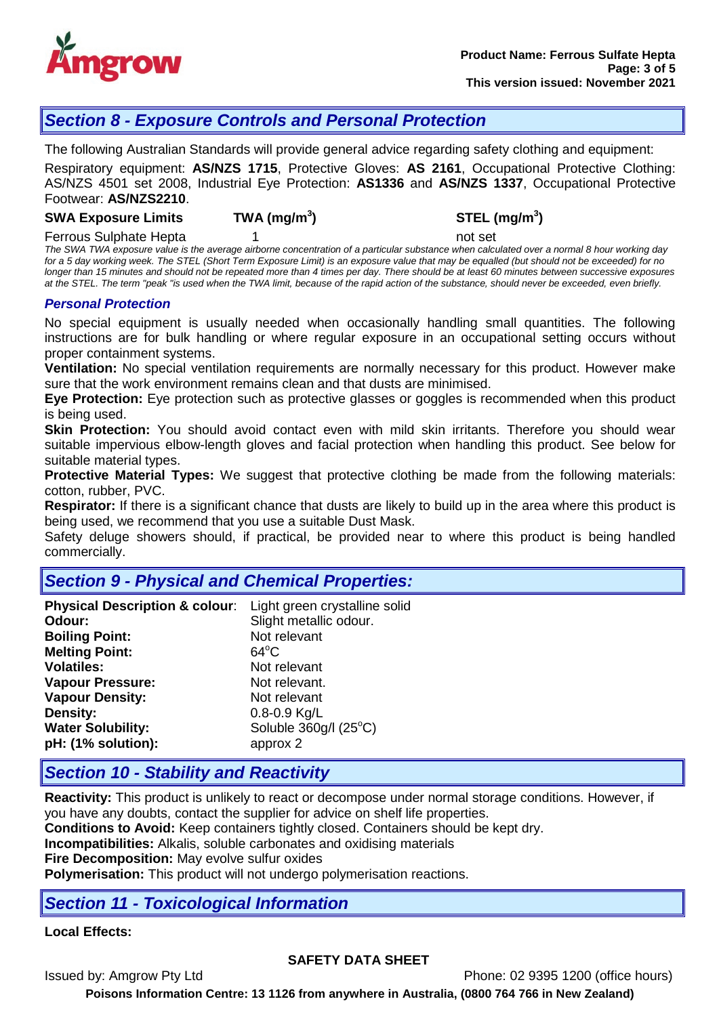

# *Section 8 - Exposure Controls and Personal Protection*

The following Australian Standards will provide general advice regarding safety clothing and equipment:

Respiratory equipment: **AS/NZS 1715**, Protective Gloves: **AS 2161**, Occupational Protective Clothing: AS/NZS 4501 set 2008, Industrial Eye Protection: **AS1336** and **AS/NZS 1337**, Occupational Protective Footwear: **AS/NZS2210**.

#### **SWA Exposure Limits TWA (mg/m<sup>3</sup>**

**) STEL (mg/m<sup>3</sup> )**

Ferrous Sulphate Hepta 1 and 1 not set

*The SWA TWA exposure value is the average airborne concentration of a particular substance when calculated over a normal 8 hour working day for a 5 day working week. The STEL (Short Term Exposure Limit) is an exposure value that may be equalled (but should not be exceeded) for no longer than 15 minutes and should not be repeated more than 4 times per day. There should be at least 60 minutes between successive exposures at the STEL. The term "peak "is used when the TWA limit, because of the rapid action of the substance, should never be exceeded, even briefly.*

#### *Personal Protection*

No special equipment is usually needed when occasionally handling small quantities. The following instructions are for bulk handling or where regular exposure in an occupational setting occurs without proper containment systems.

**Ventilation:** No special ventilation requirements are normally necessary for this product. However make sure that the work environment remains clean and that dusts are minimised.

**Eye Protection:** Eye protection such as protective glasses or goggles is recommended when this product is being used.

**Skin Protection:** You should avoid contact even with mild skin irritants. Therefore you should wear suitable impervious elbow-length gloves and facial protection when handling this product. See below for suitable material types.

**Protective Material Types:** We suggest that protective clothing be made from the following materials: cotton, rubber, PVC.

**Respirator:** If there is a significant chance that dusts are likely to build up in the area where this product is being used, we recommend that you use a suitable Dust Mask.

Safety deluge showers should, if practical, be provided near to where this product is being handled commercially.

## *Section 9 - Physical and Chemical Properties:*

| Physical Description & colour: Light green crystalline solid |                        |
|--------------------------------------------------------------|------------------------|
| Odour:                                                       | Slight metallic odour. |
| <b>Boiling Point:</b>                                        | Not relevant           |
| <b>Melting Point:</b>                                        | $64^{\circ}$ C         |
| <b>Volatiles:</b>                                            | Not relevant           |
| <b>Vapour Pressure:</b>                                      | Not relevant.          |
| <b>Vapour Density:</b>                                       | Not relevant           |
| <b>Density:</b>                                              | $0.8 - 0.9$ Kg/L       |
| <b>Water Solubility:</b>                                     | Soluble 360g/l (25°C)  |
| pH: (1% solution):                                           | approx 2               |

## *Section 10 - Stability and Reactivity*

**Reactivity:** This product is unlikely to react or decompose under normal storage conditions. However, if you have any doubts, contact the supplier for advice on shelf life properties.

**Conditions to Avoid:** Keep containers tightly closed. Containers should be kept dry.

**Incompatibilities:** Alkalis, soluble carbonates and oxidising materials

**Fire Decomposition:** May evolve sulfur oxides

**Polymerisation:** This product will not undergo polymerisation reactions.

# *Section 11 - Toxicological Information*

#### **Local Effects:**

#### **SAFETY DATA SHEET**

Issued by: Amgrow Pty Ltd Phone: 02 9395 1200 (office hours)

**Poisons Information Centre: 13 1126 from anywhere in Australia, (0800 764 766 in New Zealand)**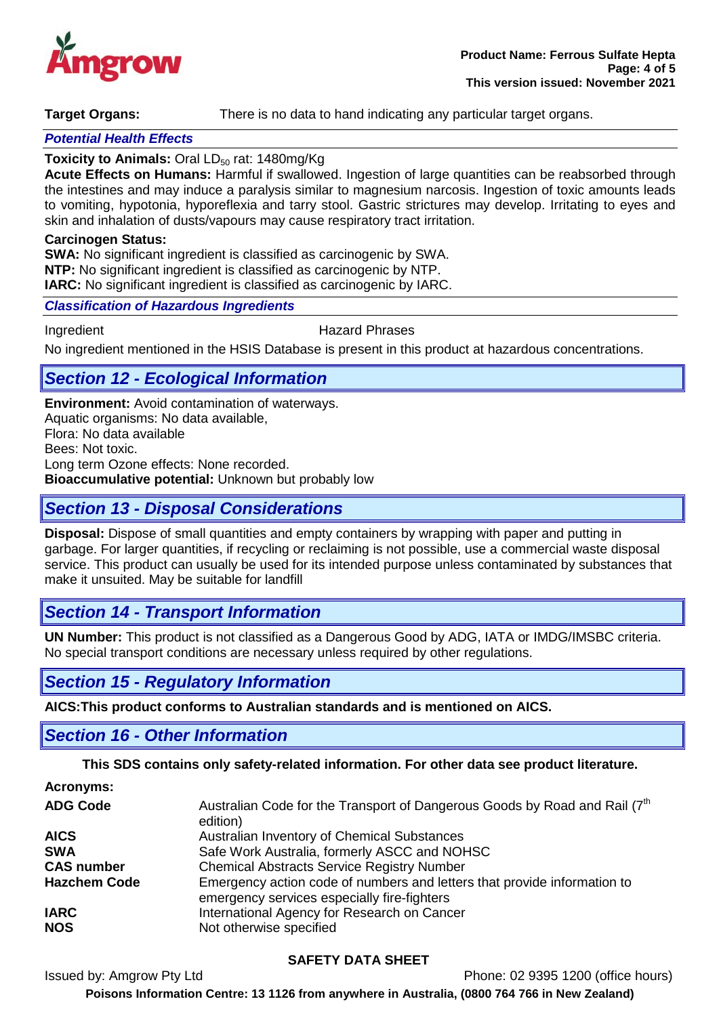

**Target Organs:** There is no data to hand indicating any particular target organs.

#### *Potential Health Effects*

#### **Toxicity to Animals: Oral LD<sub>50</sub> rat: 1480mg/Kg**

**Acute Effects on Humans:** Harmful if swallowed. Ingestion of large quantities can be reabsorbed through the intestines and may induce a paralysis similar to magnesium narcosis. Ingestion of toxic amounts leads to vomiting, hypotonia, hyporeflexia and tarry stool. Gastric strictures may develop. Irritating to eyes and skin and inhalation of dusts/vapours may cause respiratory tract irritation.

#### **Carcinogen Status:**

**SWA:** No significant ingredient is classified as carcinogenic by SWA. **NTP:** No significant ingredient is classified as carcinogenic by NTP. **IARC:** No significant ingredient is classified as carcinogenic by IARC.

#### *Classification of Hazardous Ingredients*

Ingredient **Hazard Phrases** 

No ingredient mentioned in the HSIS Database is present in this product at hazardous concentrations.

## *Section 12 - Ecological Information*

**Environment:** Avoid contamination of waterways. Aquatic organisms: No data available, Flora: No data available Bees: Not toxic. Long term Ozone effects: None recorded. **Bioaccumulative potential:** Unknown but probably low

## *Section 13 - Disposal Considerations*

**Disposal:** Dispose of small quantities and empty containers by wrapping with paper and putting in garbage. For larger quantities, if recycling or reclaiming is not possible, use a commercial waste disposal service. This product can usually be used for its intended purpose unless contaminated by substances that make it unsuited. May be suitable for landfill

## *Section 14 - Transport Information*

**UN Number:** This product is not classified as a Dangerous Good by ADG, IATA or IMDG/IMSBC criteria. No special transport conditions are necessary unless required by other regulations.

## *Section 15 - Regulatory Information*

**AICS:This product conforms to Australian standards and is mentioned on AICS.**

## *Section 16 - Other Information*

**This SDS contains only safety-related information. For other data see product literature.**

| <b>Acronyms:</b>    |                                                                                                                         |
|---------------------|-------------------------------------------------------------------------------------------------------------------------|
| <b>ADG Code</b>     | Australian Code for the Transport of Dangerous Goods by Road and Rail (7 <sup>th</sup> )<br>edition)                    |
| <b>AICS</b>         | Australian Inventory of Chemical Substances                                                                             |
| <b>SWA</b>          | Safe Work Australia, formerly ASCC and NOHSC                                                                            |
| <b>CAS number</b>   | <b>Chemical Abstracts Service Registry Number</b>                                                                       |
| <b>Hazchem Code</b> | Emergency action code of numbers and letters that provide information to<br>emergency services especially fire-fighters |
| <b>IARC</b>         | International Agency for Research on Cancer                                                                             |
| <b>NOS</b>          | Not otherwise specified                                                                                                 |

#### **SAFETY DATA SHEET**

Issued by: Amgrow Pty Ltd Phone: 02 9395 1200 (office hours)

**Poisons Information Centre: 13 1126 from anywhere in Australia, (0800 764 766 in New Zealand)**